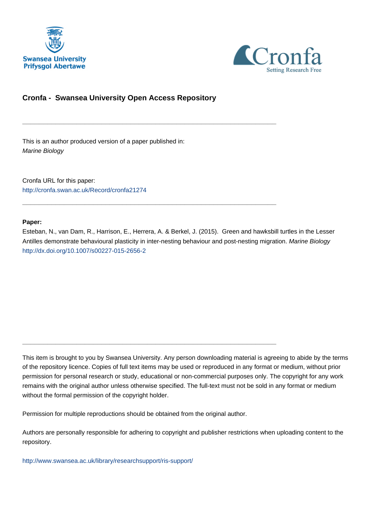



# **Cronfa - Swansea University Open Access Repository**

\_\_\_\_\_\_\_\_\_\_\_\_\_\_\_\_\_\_\_\_\_\_\_\_\_\_\_\_\_\_\_\_\_\_\_\_\_\_\_\_\_\_\_\_\_\_\_\_\_\_\_\_\_\_\_\_\_\_\_\_\_

\_\_\_\_\_\_\_\_\_\_\_\_\_\_\_\_\_\_\_\_\_\_\_\_\_\_\_\_\_\_\_\_\_\_\_\_\_\_\_\_\_\_\_\_\_\_\_\_\_\_\_\_\_\_\_\_\_\_\_\_\_

\_\_\_\_\_\_\_\_\_\_\_\_\_\_\_\_\_\_\_\_\_\_\_\_\_\_\_\_\_\_\_\_\_\_\_\_\_\_\_\_\_\_\_\_\_\_\_\_\_\_\_\_\_\_\_\_\_\_\_\_\_

This is an author produced version of a paper published in: Marine Biology

Cronfa URL for this paper: <http://cronfa.swan.ac.uk/Record/cronfa21274>

## **Paper:**

Esteban, N., van Dam, R., Harrison, E., Herrera, A. & Berkel, J. (2015). Green and hawksbill turtles in the Lesser Antilles demonstrate behavioural plasticity in inter-nesting behaviour and post-nesting migration. Marine Biology <http://dx.doi.org/10.1007/s00227-015-2656-2>

This item is brought to you by Swansea University. Any person downloading material is agreeing to abide by the terms of the repository licence. Copies of full text items may be used or reproduced in any format or medium, without prior permission for personal research or study, educational or non-commercial purposes only. The copyright for any work remains with the original author unless otherwise specified. The full-text must not be sold in any format or medium without the formal permission of the copyright holder.

Permission for multiple reproductions should be obtained from the original author.

Authors are personally responsible for adhering to copyright and publisher restrictions when uploading content to the repository.

[http://www.swansea.ac.uk/library/researchsupport/ris-support/](http://www.swansea.ac.uk/library/researchsupport/ris-support/ )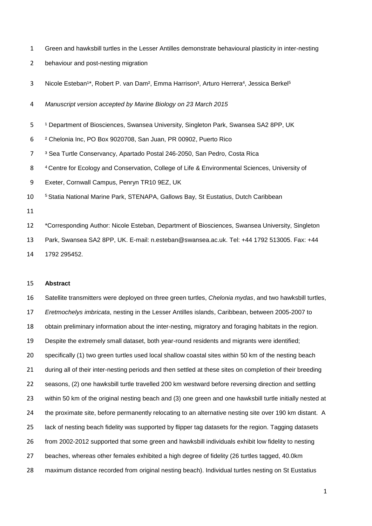- Green and hawksbill turtles in the Lesser Antilles demonstrate behavioural plasticity in inter-nesting
- behaviour and post-nesting migration

3 Nicole Esteban<sup>1\*</sup>, Robert P. van Dam<sup>2</sup>, Emma Harrison<sup>3</sup>, Arturo Herrera<sup>4</sup>, Jessica Berkel<sup>5</sup>

*Manuscript version accepted by Marine Biology on 23 March 2015*

5 <sup>1</sup> Department of Biosciences, Swansea University, Singleton Park, Swansea SA2 8PP, UK

² Chelonia Inc, PO Box 9020708, San Juan, PR 00902, Puerto Rico

³ Sea Turtle Conservancy, Apartado Postal 246-2050, San Pedro, Costa Rica

 Centre for Ecology and Conservation, College of Life & Environmental Sciences, University of

Exeter, Cornwall Campus, Penryn TR10 9EZ, UK

<sup>5</sup>Statia National Marine Park, STENAPA, Gallows Bay, St Eustatius, Dutch Caribbean

 \*Corresponding Author: Nicole Esteban, Department of Biosciences, Swansea University, Singleton Park, Swansea SA2 8PP, UK. E-mail: n.esteban@swansea.ac.uk. Tel: +44 1792 513005. Fax: +44 1792 295452.

## **Abstract**

 Satellite transmitters were deployed on three green turtles, *Chelonia mydas*, and two hawksbill turtles, *Eretmochelys imbricata*, nesting in the Lesser Antilles islands, Caribbean, between 2005-2007 to obtain preliminary information about the inter-nesting, migratory and foraging habitats in the region. Despite the extremely small dataset, both year-round residents and migrants were identified; specifically (1) two green turtles used local shallow coastal sites within 50 km of the nesting beach during all of their inter-nesting periods and then settled at these sites on completion of their breeding seasons, (2) one hawksbill turtle travelled 200 km westward before reversing direction and settling within 50 km of the original nesting beach and (3) one green and one hawksbill turtle initially nested at 24 the proximate site, before permanently relocating to an alternative nesting site over 190 km distant. A lack of nesting beach fidelity was supported by flipper tag datasets for the region. Tagging datasets from 2002-2012 supported that some green and hawksbill individuals exhibit low fidelity to nesting 27 beaches, whereas other females exhibited a high degree of fidelity (26 turtles tagged, 40.0km) maximum distance recorded from original nesting beach). Individual turtles nesting on St Eustatius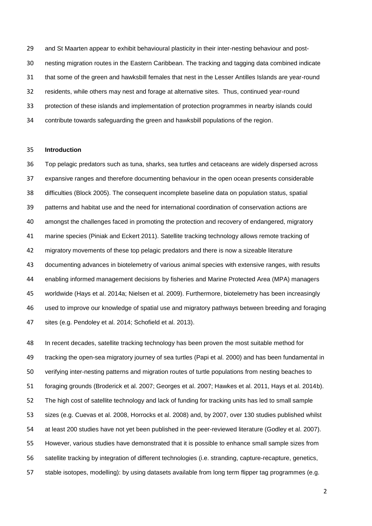and St Maarten appear to exhibit behavioural plasticity in their inter-nesting behaviour and post- nesting migration routes in the Eastern Caribbean. The tracking and tagging data combined indicate that some of the green and hawksbill females that nest in the Lesser Antilles Islands are year-round residents, while others may nest and forage at alternative sites. Thus, continued year-round protection of these islands and implementation of protection programmes in nearby islands could contribute towards safeguarding the green and hawksbill populations of the region.

#### **Introduction**

 Top pelagic predators such as tuna, sharks, sea turtles and cetaceans are widely dispersed across expansive ranges and therefore documenting behaviour in the open ocean presents considerable difficulties (Block 2005). The consequent incomplete baseline data on population status, spatial patterns and habitat use and the need for international coordination of conservation actions are amongst the challenges faced in promoting the protection and recovery of endangered, migratory marine species (Piniak and Eckert 2011). Satellite tracking technology allows remote tracking of migratory movements of these top pelagic predators and there is now a sizeable literature documenting advances in biotelemetry of various animal species with extensive ranges, with results enabling informed management decisions by fisheries and Marine Protected Area (MPA) managers worldwide (Hays et al. 2014a; Nielsen et al. 2009). Furthermore, biotelemetry has been increasingly used to improve our knowledge of spatial use and migratory pathways between breeding and foraging sites (e.g. Pendoley et al. 2014; Schofield et al. 2013).

 In recent decades, satellite tracking technology has been proven the most suitable method for tracking the open-sea migratory journey of sea turtles (Papi et al. 2000) and has been fundamental in verifying inter-nesting patterns and migration routes of turtle populations from nesting beaches to foraging grounds (Broderick et al. 2007; Georges et al. 2007; Hawkes et al. 2011, Hays et al. 2014b). The high cost of satellite technology and lack of funding for tracking units has led to small sample sizes (e.g. Cuevas et al. 2008, Horrocks et al. 2008) and, by 2007, over 130 studies published whilst at least 200 studies have not yet been published in the peer-reviewed literature (Godley et al. 2007). However, various studies have demonstrated that it is possible to enhance small sample sizes from satellite tracking by integration of different technologies (i.e. stranding, capture-recapture, genetics, stable isotopes, modelling): by using datasets available from long term flipper tag programmes (e.g.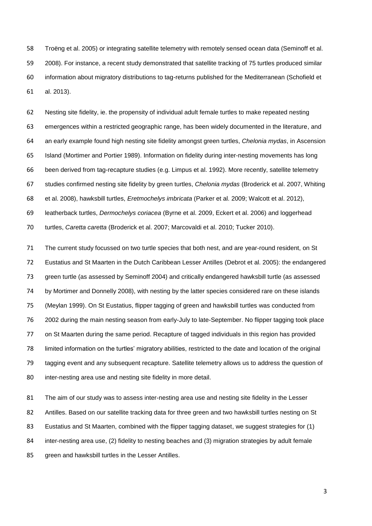Troëng et al. 2005) or integrating satellite telemetry with remotely sensed ocean data (Seminoff et al. 2008). For instance, a recent study demonstrated that satellite tracking of 75 turtles produced similar information about migratory distributions to tag-returns published for the Mediterranean (Schofield et al. 2013).

 Nesting site fidelity, ie. the propensity of individual adult female turtles to make repeated nesting emergences within a restricted geographic range, has been widely documented in the literature, and an early example found high nesting site fidelity amongst green turtles, *Chelonia mydas*, in Ascension Island (Mortimer and Portier 1989). Information on fidelity during inter-nesting movements has long been derived from tag-recapture studies (e.g. Limpus et al. 1992). More recently, satellite telemetry studies confirmed nesting site fidelity by green turtles, *Chelonia mydas* (Broderick et al. 2007, Whiting et al. 2008), hawksbill turtles, *Eretmochelys imbricata* (Parker et al. 2009; Walcott et al. 2012), leatherback turtles, *Dermochelys coriacea* (Byrne et al. 2009, Eckert et al. 2006) and loggerhead turtles, *Caretta caretta* (Broderick et al. 2007; Marcovaldi et al. 2010; Tucker 2010).

 The current study focussed on two turtle species that both nest, and are year-round resident, on St Eustatius and St Maarten in the Dutch Caribbean Lesser Antilles (Debrot et al. 2005): the endangered green turtle (as assessed by Seminoff 2004) and critically endangered hawksbill turtle (as assessed by Mortimer and Donnelly 2008), with nesting by the latter species considered rare on these islands (Meylan 1999). On St Eustatius, flipper tagging of green and hawksbill turtles was conducted from 2002 during the main nesting season from early-July to late-September. No flipper tagging took place on St Maarten during the same period. Recapture of tagged individuals in this region has provided limited information on the turtles' migratory abilities, restricted to the date and location of the original tagging event and any subsequent recapture. Satellite telemetry allows us to address the question of inter-nesting area use and nesting site fidelity in more detail.

81 The aim of our study was to assess inter-nesting area use and nesting site fidelity in the Lesser 82 Antilles. Based on our satellite tracking data for three green and two hawksbill turtles nesting on St Eustatius and St Maarten, combined with the flipper tagging dataset, we suggest strategies for (1) inter-nesting area use, (2) fidelity to nesting beaches and (3) migration strategies by adult female 85 green and hawksbill turtles in the Lesser Antilles.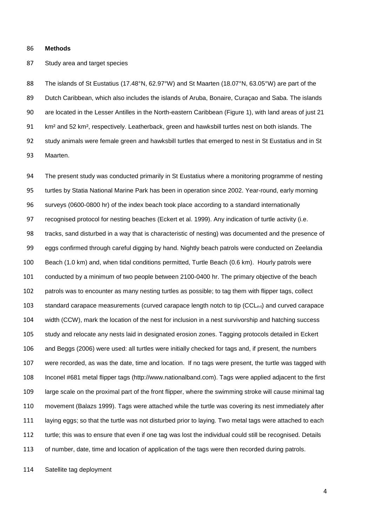#### **Methods**

Study area and target species

88 The islands of St Eustatius (17.48°N, 62.97°W) and St Maarten (18.07°N, 63.05°W) are part of the Dutch Caribbean, which also includes the islands of Aruba, Bonaire, Curaçao and Saba. The islands are located in the Lesser Antilles in the North-eastern Caribbean (Figure 1), with land areas of just 21 km² and 52 km², respectively. Leatherback, green and hawksbill turtles nest on both islands. The study animals were female green and hawksbill turtles that emerged to nest in St Eustatius and in St Maarten.

 The present study was conducted primarily in St Eustatius where a monitoring programme of nesting turtles by Statia National Marine Park has been in operation since 2002. Year-round, early morning surveys (0600-0800 hr) of the index beach took place according to a standard internationally recognised protocol for nesting beaches (Eckert et al. 1999). Any indication of turtle activity (i.e. tracks, sand disturbed in a way that is characteristic of nesting) was documented and the presence of eggs confirmed through careful digging by hand. Nightly beach patrols were conducted on Zeelandia Beach (1.0 km) and, when tidal conditions permitted, Turtle Beach (0.6 km). Hourly patrols were conducted by a minimum of two people between 2100-0400 hr. The primary objective of the beach patrols was to encounter as many nesting turtles as possible; to tag them with flipper tags, collect 103 standard carapace measurements (curved carapace length notch to tip  $(CCL_{n-t})$  and curved carapace width (CCW), mark the location of the nest for inclusion in a nest survivorship and hatching success study and relocate any nests laid in designated erosion zones. Tagging protocols detailed in Eckert and Beggs (2006) were used: all turtles were initially checked for tags and, if present, the numbers were recorded, as was the date, time and location. If no tags were present, the turtle was tagged with Inconel #681 metal flipper tags (http://www.nationalband.com). Tags were applied adjacent to the first large scale on the proximal part of the front flipper, where the swimming stroke will cause minimal tag movement (Balazs 1999). Tags were attached while the turtle was covering its nest immediately after laying eggs; so that the turtle was not disturbed prior to laying. Two metal tags were attached to each turtle; this was to ensure that even if one tag was lost the individual could still be recognised. Details 113 of number, date, time and location of application of the tags were then recorded during patrols.

Satellite tag deployment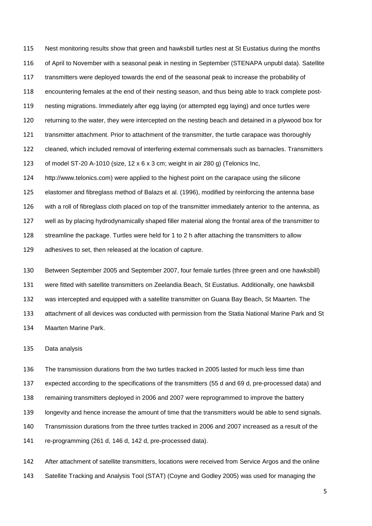Nest monitoring results show that green and hawksbill turtles nest at St Eustatius during the months of April to November with a seasonal peak in nesting in September (STENAPA unpubl data). Satellite 117 transmitters were deployed towards the end of the seasonal peak to increase the probability of encountering females at the end of their nesting season, and thus being able to track complete post- nesting migrations. Immediately after egg laying (or attempted egg laying) and once turtles were returning to the water, they were intercepted on the nesting beach and detained in a plywood box for transmitter attachment. Prior to attachment of the transmitter, the turtle carapace was thoroughly cleaned, which included removal of interfering external commensals such as barnacles. Transmitters of model ST-20 A-1010 (size, 12 x 6 x 3 cm; weight in air 280 g) (Telonics Inc, http://www.telonics.com) were applied to the highest point on the carapace using the silicone elastomer and fibreglass method of Balazs et al. (1996), modified by reinforcing the antenna base with a roll of fibreglass cloth placed on top of the transmitter immediately anterior to the antenna, as well as by placing hydrodynamically shaped filler material along the frontal area of the transmitter to streamline the package. Turtles were held for 1 to 2 h after attaching the transmitters to allow adhesives to set, then released at the location of capture.

 Between September 2005 and September 2007, four female turtles (three green and one hawksbill) were fitted with satellite transmitters on Zeelandia Beach, St Eustatius. Additionally, one hawksbill was intercepted and equipped with a satellite transmitter on Guana Bay Beach, St Maarten. The attachment of all devices was conducted with permission from the Statia National Marine Park and St Maarten Marine Park.

Data analysis

 The transmission durations from the two turtles tracked in 2005 lasted for much less time than expected according to the specifications of the transmitters (55 d and 69 d, pre-processed data) and remaining transmitters deployed in 2006 and 2007 were reprogrammed to improve the battery longevity and hence increase the amount of time that the transmitters would be able to send signals. Transmission durations from the three turtles tracked in 2006 and 2007 increased as a result of the re-programming (261 d, 146 d, 142 d, pre-processed data).

 After attachment of satellite transmitters, locations were received from Service Argos and the online Satellite Tracking and Analysis Tool (STAT) (Coyne and Godley 2005) was used for managing the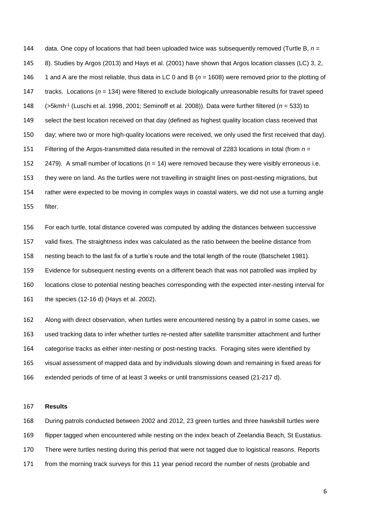data. One copy of locations that had been uploaded twice was subsequently removed (Turtle B, *n* = 8). Studies by Argos (2013) and Hays et al. (2001) have shown that Argos location classes (LC) 3, 2, 1 and A are the most reliable, thus data in LC 0 and B (*n* = 1608) were removed prior to the plotting of tracks. Locations (*n* = 134) were filtered to exclude biologically unreasonable results for travel speed (>5kmh-1 (Luschi et al. 1998, 2001; Seminoff et al. 2008)). Data were further filtered (*n* = 533) to 149 select the best location received on that day (defined as highest quality location class received that day; where two or more high-quality locations were received, we only used the first received that day). Filtering of the Argos-transmitted data resulted in the removal of 2283 locations in total (from *n* = 2479). A small number of locations (*n* = 14) were removed because they were visibly erroneous i.e. they were on land. As the turtles were not travelling in straight lines on post-nesting migrations, but rather were expected to be moving in complex ways in coastal waters, we did not use a turning angle filter.

 For each turtle, total distance covered was computed by adding the distances between successive valid fixes. The straightness index was calculated as the ratio between the beeline distance from nesting beach to the last fix of a turtle's route and the total length of the route (Batschelet 1981). Evidence for subsequent nesting events on a different beach that was not patrolled was implied by locations close to potential nesting beaches corresponding with the expected inter-nesting interval for the species (12-16 d) (Hays et al. 2002).

 Along with direct observation, when turtles were encountered nesting by a patrol in some cases, we used tracking data to infer whether turtles re-nested after satellite transmitter attachment and further categorise tracks as either inter-nesting or post-nesting tracks. Foraging sites were identified by visual assessment of mapped data and by individuals slowing down and remaining in fixed areas for extended periods of time of at least 3 weeks or until transmissions ceased (21-217 d).

#### **Results**

 During patrols conducted between 2002 and 2012, 23 green turtles and three hawksbill turtles were flipper tagged when encountered while nesting on the index beach of Zeelandia Beach, St Eustatius. There were turtles nesting during this period that were not tagged due to logistical reasons. Reports from the morning track surveys for this 11 year period record the number of nests (probable and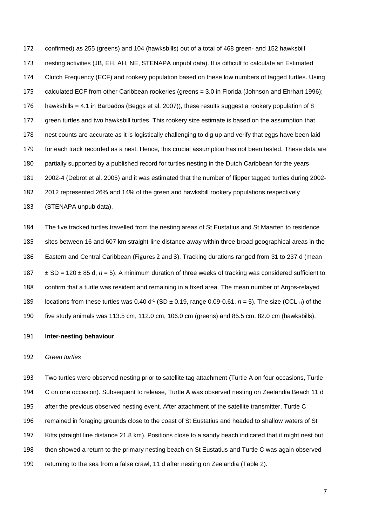confirmed) as 255 (greens) and 104 (hawksbills) out of a total of 468 green- and 152 hawksbill nesting activities (JB, EH, AH, NE, STENAPA unpubl data). It is difficult to calculate an Estimated Clutch Frequency (ECF) and rookery population based on these low numbers of tagged turtles. Using calculated ECF from other Caribbean rookeries (greens = 3.0 in Florida (Johnson and Ehrhart 1996); hawksbills = 4.1 in Barbados (Beggs et al. 2007)), these results suggest a rookery population of 8 green turtles and two hawksbill turtles. This rookery size estimate is based on the assumption that nest counts are accurate as it is logistically challenging to dig up and verify that eggs have been laid for each track recorded as a nest. Hence, this crucial assumption has not been tested. These data are partially supported by a published record for turtles nesting in the Dutch Caribbean for the years 2002-4 (Debrot et al. 2005) and it was estimated that the number of flipper tagged turtles during 2002- 2012 represented 26% and 14% of the green and hawksbill rookery populations respectively (STENAPA unpub data).

 The five tracked turtles travelled from the nesting areas of St Eustatius and St Maarten to residence sites between 16 and 607 km straight-line distance away within three broad geographical areas in the Eastern and Central Caribbean (Figures 2 and 3). Tracking durations ranged from 31 to 237 d (mean ± SD = 120 ± 85 d, *n* = 5). A minimum duration of three weeks of tracking was considered sufficient to confirm that a turtle was resident and remaining in a fixed area. The mean number of Argos-relayed 189 locations from these turtles was  $0.40 d<sup>-1</sup>$  (SD  $\pm 0.19$ , range 0.09-0.61,  $n = 5$ ). The size (CCL<sub>n-t</sub>) of the five study animals was 113.5 cm, 112.0 cm, 106.0 cm (greens) and 85.5 cm, 82.0 cm (hawksbills).

#### **Inter-nesting behaviour**

#### *Green turtles*

 Two turtles were observed nesting prior to satellite tag attachment (Turtle A on four occasions, Turtle C on one occasion). Subsequent to release, Turtle A was observed nesting on Zeelandia Beach 11 d after the previous observed nesting event. After attachment of the satellite transmitter, Turtle C remained in foraging grounds close to the coast of St Eustatius and headed to shallow waters of St Kitts (straight line distance 21.8 km). Positions close to a sandy beach indicated that it might nest but then showed a return to the primary nesting beach on St Eustatius and Turtle C was again observed returning to the sea from a false crawl, 11 d after nesting on Zeelandia (Table 2).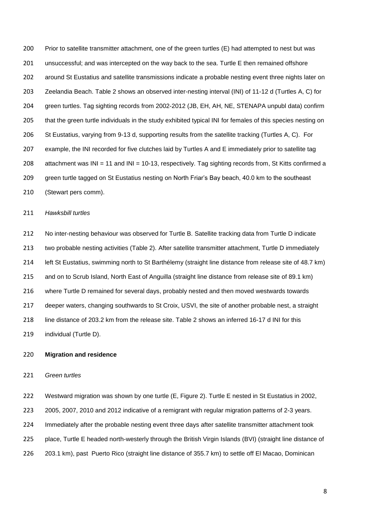Prior to satellite transmitter attachment, one of the green turtles (E) had attempted to nest but was unsuccessful; and was intercepted on the way back to the sea. Turtle E then remained offshore around St Eustatius and satellite transmissions indicate a probable nesting event three nights later on Zeelandia Beach. Table 2 shows an observed inter-nesting interval (INI) of 11-12 d (Turtles A, C) for green turtles. Tag sighting records from 2002-2012 (JB, EH, AH, NE, STENAPA unpubl data) confirm 205 that the green turtle individuals in the study exhibited typical INI for females of this species nesting on St Eustatius, varying from 9-13 d, supporting results from the satellite tracking (Turtles A, C). For example, the INI recorded for five clutches laid by Turtles A and E immediately prior to satellite tag attachment was INI = 11 and INI = 10-13, respectively. Tag sighting records from, St Kitts confirmed a green turtle tagged on St Eustatius nesting on North Friar's Bay beach, 40.0 km to the southeast (Stewart pers comm).

#### *Hawksbill turtles*

 No inter-nesting behaviour was observed for Turtle B. Satellite tracking data from Turtle D indicate two probable nesting activities (Table 2). After satellite transmitter attachment, Turtle D immediately left St Eustatius, swimming north to St Barthélemy (straight line distance from release site of 48.7 km) and on to Scrub Island, North East of Anguilla (straight line distance from release site of 89.1 km) where Turtle D remained for several days, probably nested and then moved westwards towards deeper waters, changing southwards to St Croix, USVI, the site of another probable nest, a straight line distance of 203.2 km from the release site. Table 2 shows an inferred 16-17 d INI for this individual (Turtle D).

## **Migration and residence**

#### *Green turtles*

 Westward migration was shown by one turtle (E, Figure 2). Turtle E nested in St Eustatius in 2002, 2005, 2007, 2010 and 2012 indicative of a remigrant with regular migration patterns of 2-3 years. Immediately after the probable nesting event three days after satellite transmitter attachment took place, Turtle E headed north-westerly through the British Virgin Islands (BVI) (straight line distance of 203.1 km), past Puerto Rico (straight line distance of 355.7 km) to settle off El Macao, Dominican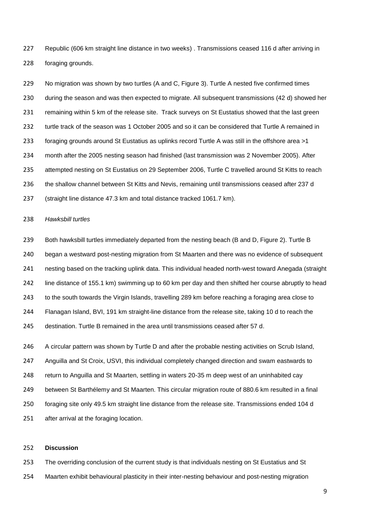Republic (606 km straight line distance in two weeks) . Transmissions ceased 116 d after arriving in foraging grounds.

229 No migration was shown by two turtles (A and C, Figure 3). Turtle A nested five confirmed times during the season and was then expected to migrate. All subsequent transmissions (42 d) showed her remaining within 5 km of the release site. Track surveys on St Eustatius showed that the last green 232 turtle track of the season was 1 October 2005 and so it can be considered that Turtle A remained in foraging grounds around St Eustatius as uplinks record Turtle A was still in the offshore area >1 month after the 2005 nesting season had finished (last transmission was 2 November 2005). After attempted nesting on St Eustatius on 29 September 2006, Turtle C travelled around St Kitts to reach the shallow channel between St Kitts and Nevis, remaining until transmissions ceased after 237 d (straight line distance 47.3 km and total distance tracked 1061.7 km).

## *Hawksbill turtles*

 Both hawksbill turtles immediately departed from the nesting beach (B and D, Figure 2). Turtle B began a westward post-nesting migration from St Maarten and there was no evidence of subsequent nesting based on the tracking uplink data. This individual headed north-west toward Anegada (straight line distance of 155.1 km) swimming up to 60 km per day and then shifted her course abruptly to head to the south towards the Virgin Islands, travelling 289 km before reaching a foraging area close to Flanagan Island, BVI, 191 km straight-line distance from the release site, taking 10 d to reach the destination. Turtle B remained in the area until transmissions ceased after 57 d.

 A circular pattern was shown by Turtle D and after the probable nesting activities on Scrub Island, Anguilla and St Croix, USVI, this individual completely changed direction and swam eastwards to return to Anguilla and St Maarten, settling in waters 20-35 m deep west of an uninhabited cay between St Barthélemy and St Maarten. This circular migration route of 880.6 km resulted in a final foraging site only 49.5 km straight line distance from the release site. Transmissions ended 104 d after arrival at the foraging location.

## **Discussion**

 The overriding conclusion of the current study is that individuals nesting on St Eustatius and St Maarten exhibit behavioural plasticity in their inter-nesting behaviour and post-nesting migration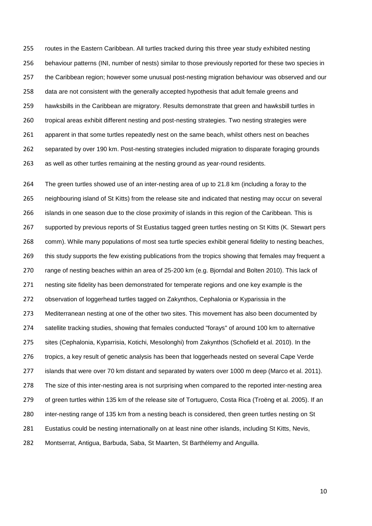routes in the Eastern Caribbean. All turtles tracked during this three year study exhibited nesting behaviour patterns (INI, number of nests) similar to those previously reported for these two species in the Caribbean region; however some unusual post-nesting migration behaviour was observed and our 258 data are not consistent with the generally accepted hypothesis that adult female greens and hawksbills in the Caribbean are migratory. Results demonstrate that green and hawksbill turtles in tropical areas exhibit different nesting and post-nesting strategies. Two nesting strategies were apparent in that some turtles repeatedly nest on the same beach, whilst others nest on beaches separated by over 190 km. Post-nesting strategies included migration to disparate foraging grounds as well as other turtles remaining at the nesting ground as year-round residents.

 The green turtles showed use of an inter-nesting area of up to 21.8 km (including a foray to the neighbouring island of St Kitts) from the release site and indicated that nesting may occur on several islands in one season due to the close proximity of islands in this region of the Caribbean. This is supported by previous reports of St Eustatius tagged green turtles nesting on St Kitts (K. Stewart pers comm). While many populations of most sea turtle species exhibit general fidelity to nesting beaches, 269 this study supports the few existing publications from the tropics showing that females may frequent a range of nesting beaches within an area of 25-200 km (e.g. Bjorndal and Bolten 2010). This lack of nesting site fidelity has been demonstrated for temperate regions and one key example is the observation of loggerhead turtles tagged on Zakynthos, Cephalonia or Kyparissia in the Mediterranean nesting at one of the other two sites. This movement has also been documented by satellite tracking studies, showing that females conducted "forays" of around 100 km to alternative sites (Cephalonia, Kyparrisia, Kotichi, Mesolonghi) from Zakynthos (Schofield et al. 2010). In the tropics, a key result of genetic analysis has been that loggerheads nested on several Cape Verde islands that were over 70 km distant and separated by waters over 1000 m deep (Marco et al. 2011). The size of this inter-nesting area is not surprising when compared to the reported inter-nesting area of green turtles within 135 km of the release site of Tortuguero, Costa Rica (Troëng et al. 2005). If an inter-nesting range of 135 km from a nesting beach is considered, then green turtles nesting on St Eustatius could be nesting internationally on at least nine other islands, including St Kitts, Nevis, Montserrat, Antigua, Barbuda, Saba, St Maarten, St Barthélemy and Anguilla.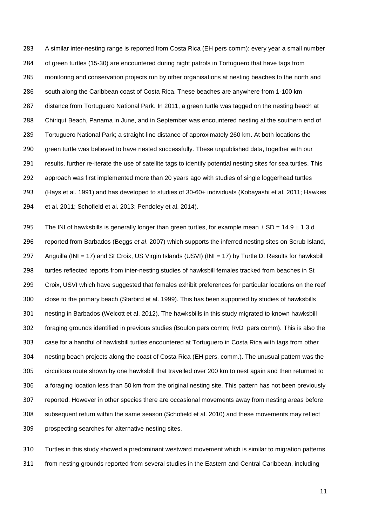A similar inter-nesting range is reported from Costa Rica (EH pers comm): every year a small number of green turtles (15-30) are encountered during night patrols in Tortuguero that have tags from monitoring and conservation projects run by other organisations at nesting beaches to the north and south along the Caribbean coast of Costa Rica. These beaches are anywhere from 1-100 km distance from Tortuguero National Park. In 2011, a green turtle was tagged on the nesting beach at Chiriquí Beach, Panama in June, and in September was encountered nesting at the southern end of Tortuguero National Park; a straight-line distance of approximately 260 km. At both locations the 290 green turtle was believed to have nested successfully. These unpublished data, together with our results, further re-iterate the use of satellite tags to identify potential nesting sites for sea turtles. This approach was first implemented more than 20 years ago with studies of single loggerhead turtles (Hays et al. 1991) and has developed to studies of 30-60+ individuals (Kobayashi et al. 2011; Hawkes et al. 2011; Schofield et al. 2013; Pendoley et al. 2014).

295 The INI of hawksbills is generally longer than green turtles, for example mean  $\pm$  SD = 14.9  $\pm$  1.3 d reported from Barbados (Beggs *et al*. 2007) which supports the inferred nesting sites on Scrub Island, 297 Anguilla (INI = 17) and St Croix, US Virgin Islands (USVI) (INI = 17) by Turtle D. Results for hawksbill turtles reflected reports from inter-nesting studies of hawksbill females tracked from beaches in St Croix, USVI which have suggested that females exhibit preferences for particular locations on the reef close to the primary beach (Starbird et al. 1999). This has been supported by studies of hawksbills nesting in Barbados (Welcott et al. 2012). The hawksbills in this study migrated to known hawksbill foraging grounds identified in previous studies (Boulon pers comm; RvD pers comm). This is also the case for a handful of hawksbill turtles encountered at Tortuguero in Costa Rica with tags from other nesting beach projects along the coast of Costa Rica (EH pers. comm.). The unusual pattern was the circuitous route shown by one hawksbill that travelled over 200 km to nest again and then returned to a foraging location less than 50 km from the original nesting site. This pattern has not been previously reported. However in other species there are occasional movements away from nesting areas before subsequent return within the same season (Schofield et al. 2010) and these movements may reflect prospecting searches for alternative nesting sites.

 Turtles in this study showed a predominant westward movement which is similar to migration patterns from nesting grounds reported from several studies in the Eastern and Central Caribbean, including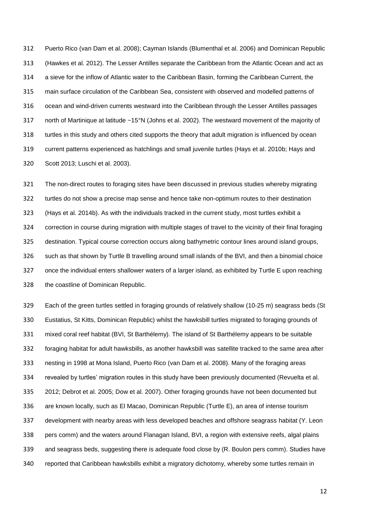Puerto Rico (van Dam et al. 2008); Cayman Islands (Blumenthal et al. 2006) and Dominican Republic (Hawkes et al. 2012). The Lesser Antilles separate the Caribbean from the Atlantic Ocean and act as a sieve for the inflow of Atlantic water to the Caribbean Basin, forming the Caribbean Current, the main surface circulation of the Caribbean Sea, consistent with observed and modelled patterns of ocean and wind-driven currents westward into the Caribbean through the Lesser Antilles passages north of Martinique at latitude ~15°N (Johns et al. 2002). The westward movement of the majority of turtles in this study and others cited supports the theory that adult migration is influenced by ocean current patterns experienced as hatchlings and small juvenile turtles (Hays et al. 2010b; Hays and Scott 2013; Luschi et al. 2003).

 The non-direct routes to foraging sites have been discussed in previous studies whereby migrating turtles do not show a precise map sense and hence take non-optimum routes to their destination (Hays et al. 2014b). As with the individuals tracked in the current study, most turtles exhibit a correction in course during migration with multiple stages of travel to the vicinity of their final foraging destination. Typical course correction occurs along bathymetric contour lines around island groups, such as that shown by Turtle B travelling around small islands of the BVI, and then a binomial choice once the individual enters shallower waters of a larger island, as exhibited by Turtle E upon reaching the coastline of Dominican Republic.

 Each of the green turtles settled in foraging grounds of relatively shallow (10-25 m) seagrass beds (St Eustatius, St Kitts, Dominican Republic) whilst the hawksbill turtles migrated to foraging grounds of mixed coral reef habitat (BVI, St Barthélemy). The island of St Barthélemy appears to be suitable foraging habitat for adult hawksbills, as another hawksbill was satellite tracked to the same area after nesting in 1998 at Mona Island, Puerto Rico (van Dam et al. 2008). Many of the foraging areas revealed by turtles' migration routes in this study have been previously documented (Revuelta et al. 2012; Debrot et al. 2005; Dow et al. 2007). Other foraging grounds have not been documented but are known locally, such as El Macao, Dominican Republic (Turtle E), an area of intense tourism development with nearby areas with less developed beaches and offshore seagrass habitat (Y. Leon pers comm) and the waters around Flanagan Island, BVI, a region with extensive reefs, algal plains and seagrass beds, suggesting there is adequate food close by (R. Boulon pers comm). Studies have reported that Caribbean hawksbills exhibit a migratory dichotomy, whereby some turtles remain in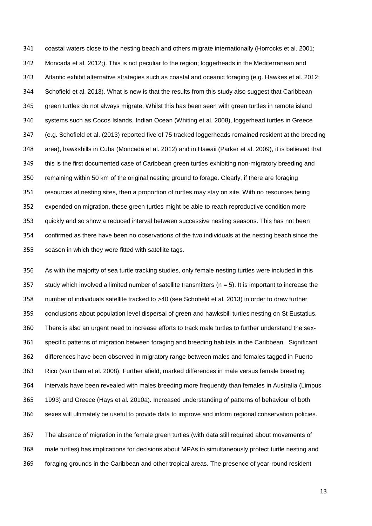coastal waters close to the nesting beach and others migrate internationally (Horrocks et al. 2001; Moncada et al. 2012;). This is not peculiar to the region; loggerheads in the Mediterranean and Atlantic exhibit alternative strategies such as coastal and oceanic foraging (e.g. Hawkes et al. 2012; Schofield et al. 2013). What is new is that the results from this study also suggest that Caribbean green turtles do not always migrate. Whilst this has been seen with green turtles in remote island systems such as Cocos Islands, Indian Ocean (Whiting et al. 2008), loggerhead turtles in Greece (e.g. Schofield et al. (2013) reported five of 75 tracked loggerheads remained resident at the breeding area), hawksbills in Cuba (Moncada et al. 2012) and in Hawaii (Parker et al. 2009), it is believed that this is the first documented case of Caribbean green turtles exhibiting non-migratory breeding and remaining within 50 km of the original nesting ground to forage. Clearly, if there are foraging resources at nesting sites, then a proportion of turtles may stay on site. With no resources being expended on migration, these green turtles might be able to reach reproductive condition more quickly and so show a reduced interval between successive nesting seasons. This has not been confirmed as there have been no observations of the two individuals at the nesting beach since the season in which they were fitted with satellite tags.

 As with the majority of sea turtle tracking studies, only female nesting turtles were included in this 357 study which involved a limited number of satellite transmitters ( $n = 5$ ). It is important to increase the number of individuals satellite tracked to >40 (see Schofield et al. 2013) in order to draw further conclusions about population level dispersal of green and hawksbill turtles nesting on St Eustatius. There is also an urgent need to increase efforts to track male turtles to further understand the sex- specific patterns of migration between foraging and breeding habitats in the Caribbean. Significant differences have been observed in migratory range between males and females tagged in Puerto Rico (van Dam et al. 2008). Further afield, marked differences in male versus female breeding intervals have been revealed with males breeding more frequently than females in Australia (Limpus 1993) and Greece (Hays et al. 2010a). Increased understanding of patterns of behaviour of both sexes will ultimately be useful to provide data to improve and inform regional conservation policies.

 The absence of migration in the female green turtles (with data still required about movements of male turtles) has implications for decisions about MPAs to simultaneously protect turtle nesting and foraging grounds in the Caribbean and other tropical areas. The presence of year-round resident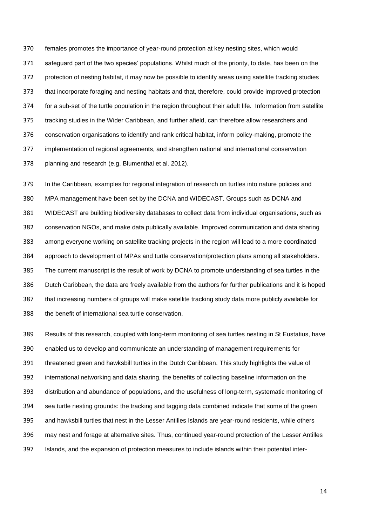females promotes the importance of year-round protection at key nesting sites, which would safeguard part of the two species' populations. Whilst much of the priority, to date, has been on the protection of nesting habitat, it may now be possible to identify areas using satellite tracking studies that incorporate foraging and nesting habitats and that, therefore, could provide improved protection for a sub-set of the turtle population in the region throughout their adult life. Information from satellite tracking studies in the Wider Caribbean, and further afield, can therefore allow researchers and conservation organisations to identify and rank critical habitat, inform policy-making, promote the implementation of regional agreements, and strengthen national and international conservation planning and research (e.g. Blumenthal et al. 2012).

 In the Caribbean, examples for regional integration of research on turtles into nature policies and MPA management have been set by the DCNA and WIDECAST. Groups such as DCNA and WIDECAST are building biodiversity databases to collect data from individual organisations, such as conservation NGOs, and make data publically available. Improved communication and data sharing among everyone working on satellite tracking projects in the region will lead to a more coordinated approach to development of MPAs and turtle conservation/protection plans among all stakeholders. The current manuscript is the result of work by DCNA to promote understanding of sea turtles in the Dutch Caribbean, the data are freely available from the authors for further publications and it is hoped that increasing numbers of groups will make satellite tracking study data more publicly available for the benefit of international sea turtle conservation.

 Results of this research, coupled with long-term monitoring of sea turtles nesting in St Eustatius, have enabled us to develop and communicate an understanding of management requirements for threatened green and hawksbill turtles in the Dutch Caribbean. This study highlights the value of international networking and data sharing, the benefits of collecting baseline information on the distribution and abundance of populations, and the usefulness of long-term, systematic monitoring of sea turtle nesting grounds: the tracking and tagging data combined indicate that some of the green and hawksbill turtles that nest in the Lesser Antilles Islands are year-round residents, while others may nest and forage at alternative sites. Thus, continued year-round protection of the Lesser Antilles Islands, and the expansion of protection measures to include islands within their potential inter-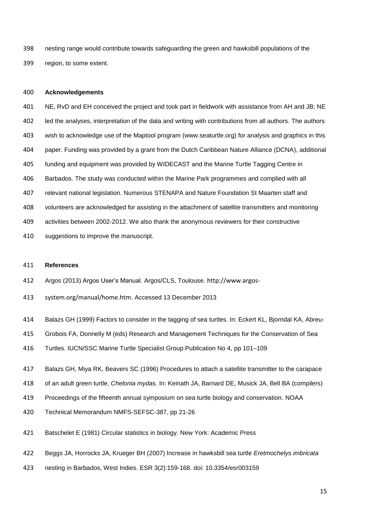nesting range would contribute towards safeguarding the green and hawksbill populations of the region, to some extent.

#### **Acknowledgements**

 NE, RvD and EH conceived the project and took part in fieldwork with assistance from AH and JB; NE led the analyses, interpretation of the data and writing with contributions from all authors. The authors wish to acknowledge use of the Maptool program (www.seaturtle.org) for analysis and graphics in this paper. Funding was provided by a grant from the Dutch Caribbean Nature Alliance (DCNA), additional funding and equipment was provided by WIDECAST and the Marine Turtle Tagging Centre in Barbados. The study was conducted within the Marine Park programmes and complied with all relevant national legislation. Numerous STENAPA and Nature Foundation St Maarten staff and volunteers are acknowledged for assisting in the attachment of satellite transmitters and monitoring activities between 2002-2012. We also thank the anonymous reviewers for their constructive

suggestions to improve the manuscript.

## **References**

- Argos (2013) Argos User's Manual. Argos/CLS, Toulouse. http://www.argos-
- system.org/manual/home.htm. Accessed 13 December 2013
- Balazs GH (1999) Factors to consider in the tagging of sea turtles. In: Eckert KL, Bjorndal KA, Abreu-
- Grobois FA, Donnelly M (eds) Research and Management Techniques for the Conservation of Sea
- Turtles. IUCN/SSC Marine Turtle Specialist Group Publication No 4, pp 101–109
- Balazs GH, Miya RK, Beavers SC (1996) Procedures to attach a satellite transmitter to the carapace
- of an adult green turtle, *Chelonia mydas.* In: Keinath JA, Barnard DE, Musick JA, Bell BA (compilers)
- Proceedings of the fifteenth annual symposium on sea turtle biology and conservation. NOAA
- Technical Memorandum NMFS-SEFSC-387, pp 21-26
- Batschelet E (1981) Circular statistics in biology. New York: Academic Press
- Beggs JA, Horrocks JA, Krueger BH (2007) Increase in hawksbill sea turtle *Eretmochelys imbricata*
- nesting in Barbados, West Indies. ESR 3(2):159-168. doi: 10.3354/esr003159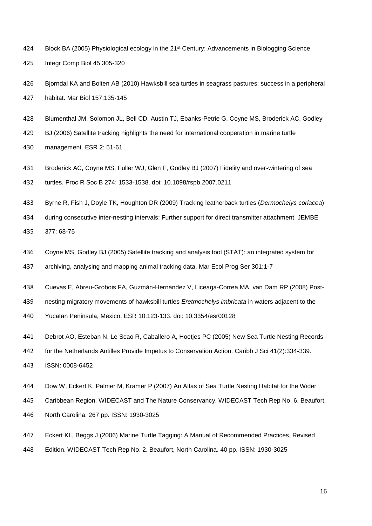- 424 Block BA (2005) Physiological ecology in the 21<sup>st</sup> Century: Advancements in Biologging Science.
- Integr Comp Biol 45:305-320
- Bjorndal KA and Bolten AB (2010) Hawksbill sea turtles in seagrass pastures: success in a peripheral habitat. Mar Biol 157:135-145
- Blumenthal JM, Solomon JL, Bell CD, Austin TJ, Ebanks-Petrie G, Coyne MS, Broderick AC, Godley
- BJ (2006) Satellite tracking highlights the need for international cooperation in marine turtle
- management. ESR 2: 51-61
- Broderick AC, Coyne MS, Fuller WJ, Glen F, Godley BJ (2007) Fidelity and over-wintering of sea turtles. Proc R Soc B 274: 1533-1538. doi: 10.1098/rspb.2007.0211
- Byrne R, Fish J, Doyle TK, Houghton DR (2009) Tracking leatherback turtles (*Dermochelys coriacea*)
- during consecutive inter-nesting intervals: Further support for direct transmitter attachment. JEMBE 377: 68-75
- Coyne MS, Godley BJ (2005) Satellite tracking and analysis tool (STAT): an integrated system for
- archiving, analysing and mapping animal tracking data. Mar Ecol Prog Ser 301:1-7
- Cuevas E, Abreu-Grobois FA, Guzmán-Hernández V, Liceaga-Correa MA, van Dam RP (2008) Post-
- nesting migratory movements of hawksbill turtles *Eretmochelys imbricata* in waters adjacent to the
- Yucatan Peninsula, Mexico. ESR 10:123-133. doi: 10.3354/esr00128
- Debrot AO, Esteban N, Le Scao R, Caballero A, Hoetjes PC (2005) New Sea Turtle Nesting Records
- for the Netherlands Antilles Provide Impetus to Conservation Action. Caribb J Sci 41(2):334-339.
- ISSN: 0008-6452
- Dow W, Eckert K, Palmer M, Kramer P (2007) An Atlas of Sea Turtle Nesting Habitat for the Wider
- Caribbean Region. WIDECAST and The Nature Conservancy. WIDECAST Tech Rep No. 6. Beaufort,
- North Carolina. 267 pp. ISSN: 1930-3025
- Eckert KL, Beggs J (2006) Marine Turtle Tagging: A Manual of Recommended Practices, Revised
- Edition. WIDECAST Tech Rep No. 2. Beaufort, North Carolina. 40 pp. ISSN: 1930-3025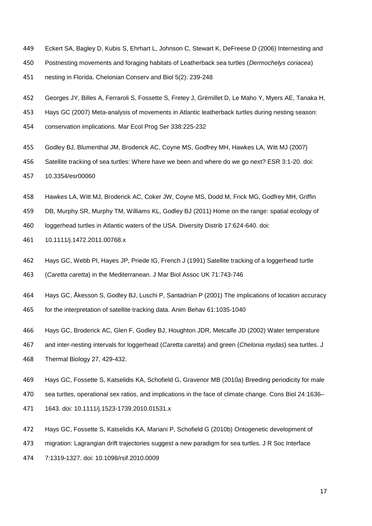- Eckert SA, Bagley D, Kubis S, Ehrhart L, Johnson C, Stewart K, DeFreese D (2006) Internesting and
- Postnesting movements and foraging habitats of Leatherback sea turtles (*Dermochelys coriacea*)
- nesting in Florida. Chelonian Conserv and Biol 5(2): 239-248
- Georges JY, Billes A, Ferraroli S, Fossette S, Fretey J, Grémillet D, Le Maho Y, Myers AE, Tanaka H,
- Hays GC (2007) Meta-analysis of movements in Atlantic leatherback turtles during nesting season:
- conservation implications. Mar Ecol Prog Ser 338:225-232
- Godley BJ, Blumenthal JM, Broderick AC, Coyne MS, Godfrey MH, Hawkes LA, Witt MJ (2007)
- Satellite tracking of sea turtles: Where have we been and where do we go next? ESR 3:1-20. doi:
- 10.3354/esr00060
- Hawkes LA, Witt MJ, Broderick AC, Coker JW, Coyne MS, Dodd M, Frick MG, Godfrey MH, Griffin
- DB, Murphy SR, Murphy TM, Williams KL, Godley BJ (2011) Home on the range: spatial ecology of
- loggerhead turtles in Atlantic waters of the USA. Diversity Distrib 17:624-640. doi:
- 10.1111/j.1472.2011.00768.x
- Hays GC, Webb PI, Hayes JP, Priede IG, French J (1991) Satellite tracking of a loggerhead turtle
- (*Caretta caretta*) in the Mediterranean. J Mar Biol Assoc UK 71:743-746
- Hays GC, Åkesson S, Godley BJ, Luschi P, Santadrian P (2001) The implications of location accuracy
- for the interpretation of satellite tracking data. Anim Behav 61:1035-1040
- Hays GC, Broderick AC, Glen F, Godley BJ, Houghton JDR, Metcalfe JD (2002) Water temperature
- and inter-nesting intervals for loggerhead (*Caretta caretta*) and green (*Chelonia mydas*) sea turtles. J Thermal Biology 27, 429-432.
- Hays GC, Fossette S, Katselidis KA, Schofield G, Gravenor MB (2010a) Breeding periodicity for male
- sea turtles, operational sex ratios, and implications in the face of climate change. Cons Biol 24:1636–
- 1643. doi: 10.1111/j.1523-1739.2010.01531.x
- Hays GC, Fossette S, Katselidis KA, Mariani P, Schofield G (2010b) Ontogenetic development of
- migration: Lagrangian drift trajectories suggest a new paradigm for sea turtles. J R Soc Interface
- 7:1319-1327. doi: 10.1098/rsif.2010.0009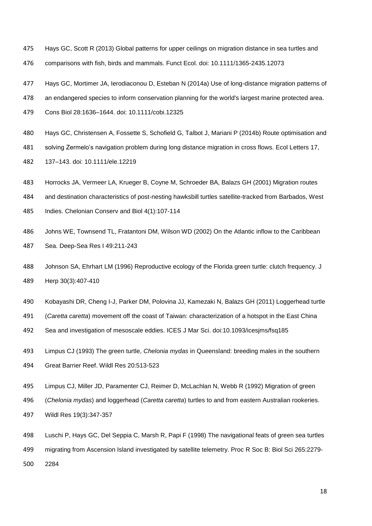- Hays GC, Scott R (2013) Global patterns for upper ceilings on migration distance in sea turtles and comparisons with fish, birds and mammals. Funct Ecol. doi: 10.1111/1365-2435.12073
- Hays GC, Mortimer JA, Ierodiaconou D, Esteban N (2014a) Use of long-distance migration patterns of
- an endangered species to inform conservation planning for the world's largest marine protected area.
- Cons Biol 28:1636–1644. doi: 10.1111/cobi.12325
- Hays GC, Christensen A, Fossette S, Schofield G, Talbot J, Mariani P (2014b) Route optimisation and
- solving Zermelo's navigation problem during long distance migration in cross flows. Ecol Letters 17,
- 137–143. doi: 10.1111/ele.12219
- Horrocks JA, Vermeer LA, Krueger B, Coyne M, Schroeder BA, Balazs GH (2001) Migration routes
- and destination characteristics of post-nesting hawksbill turtles satellite-tracked from Barbados, West
- Indies. Chelonian Conserv and Biol 4(1):107-114
- Johns WE, Townsend TL, Fratantoni DM, Wilson WD (2002) On the Atlantic inflow to the Caribbean Sea. Deep-Sea Res I 49:211-243
- Johnson SA, Ehrhart LM (1996) Reproductive ecology of the Florida green turtle: clutch frequency. J Herp 30(3):407-410
- Kobayashi DR, Cheng I-J, Parker DM, Polovina JJ, Kamezaki N, Balazs GH (2011) Loggerhead turtle
- (*Caretta caretta*) movement off the coast of Taiwan: characterization of a hotspot in the East China
- Sea and investigation of mesoscale eddies. ICES J Mar Sci. doi:10.1093/icesjms/fsq185
- Limpus CJ (1993) The green turtle, *Chelonia mydas* in Queensland: breeding males in the southern Great Barrier Reef. Wildl Res 20:513-523
- Limpus CJ, Miller JD, Paramenter CJ, Reimer D, McLachlan N, Webb R (1992) Migration of green
- (*Chelonia mydas*) and loggerhead (*Caretta caretta*) turtles to and from eastern Australian rookeries.
- Wildl Res 19(3):347-357
- Luschi P, Hays GC, Del Seppia C, Marsh R, Papi F (1998) The navigational feats of green sea turtles
- migrating from Ascension Island investigated by satellite telemetry. Proc R Soc B: Biol Sci 265:2279-
- 2284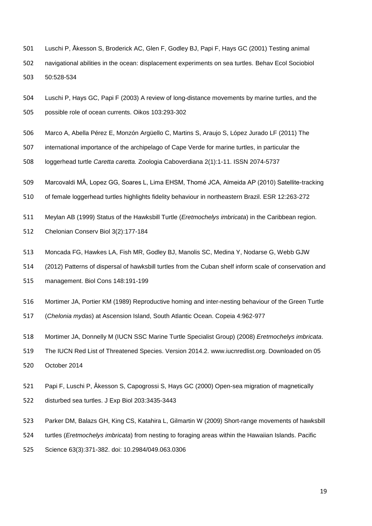- Luschi P, Åkesson S, Broderick AC, Glen F, Godley BJ, Papi F, Hays GC (2001) Testing animal
- navigational abilities in the ocean: displacement experiments on sea turtles. Behav Ecol Sociobiol

50:528-534

- Luschi P, Hays GC, Papi F (2003) A review of long-distance movements by marine turtles, and the possible role of ocean currents. Oikos 103:293-302
- Marco A, Abella Pérez E, Monzón Argüello C, Martins S, Araujo S, López Jurado LF (2011) The
- international importance of the archipelago of Cape Verde for marine turtles, in particular the
- loggerhead turtle *Caretta caretta.* Zoologia Caboverdiana 2(1):1-11. ISSN 2074-5737
- Marcovaldi MȂ, Lopez GG, Soares L, Lima EHSM, Thomé JCA, Almeida AP (2010) Satellite-tracking
- of female loggerhead turtles highlights fidelity behaviour in northeastern Brazil. ESR 12:263-272
- Meylan AB (1999) Status of the Hawksbill Turtle (*Eretmochelys imbricata*) in the Caribbean region.
- Chelonian Conserv Biol 3(2):177-184
- Moncada FG, Hawkes LA, Fish MR, Godley BJ, Manolis SC, Medina Y, Nodarse G, Webb GJW
- (2012) Patterns of dispersal of hawksbill turtles from the Cuban shelf inform scale of conservation and
- management. Biol Cons 148:191-199
- Mortimer JA, Portier KM (1989) Reproductive homing and inter-nesting behaviour of the Green Turtle
- (*Chelonia mydas*) at Ascension Island, South Atlantic Ocean. Copeia 4:962-977
- Mortimer JA, Donnelly M (IUCN SSC Marine Turtle Specialist Group) (2008) *Eretmochelys imbricata*.
- The IUCN Red List of Threatened Species. Version 2014.2. www.iucnredlist.org. Downloaded on 05
- October 2014
- Papi F, Luschi P, Âkesson S, Capogrossi S, Hays GC (2000) Open-sea migration of magnetically
- disturbed sea turtles. J Exp Biol 203:3435-3443
- Parker DM, Balazs GH, King CS, Katahira L, Gilmartin W (2009) Short-range movements of hawksbill
- turtles (*Eretmochelys imbricata*) from nesting to foraging areas within the Hawaiian Islands. Pacific
- Science 63(3):371-382. doi: 10.2984/049.063.0306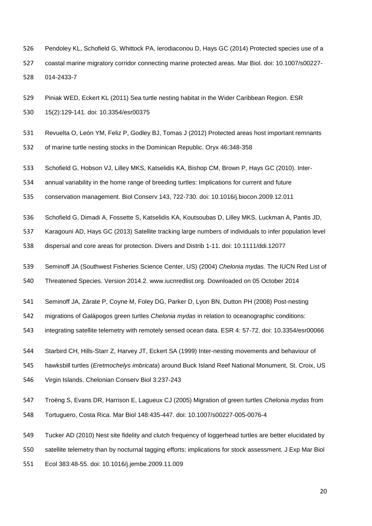Pendoley KL, Schofield G, Whittock PA, Ierodiaconou D, Hays GC (2014) Protected species use of a coastal marine migratory corridor connecting marine protected areas. Mar Biol. doi: 10.1007/s00227-

014-2433-7

- Piniak WED, Eckert KL (2011) Sea turtle nesting habitat in the Wider Caribbean Region. ESR
- 15(2):129-141. doi: 10.3354/esr00375
- Revuelta O, León YM, Feliz P, Godley BJ, Tomas J (2012) Protected areas host important remnants
- of marine turtle nesting stocks in the Dominican Republic. Oryx 46:348-358
- Schofield G, Hobson VJ, Lilley MKS, Katselidis KA, Bishop CM, Brown P, Hays GC (2010). Inter-
- annual variability in the home range of breeding turtles: Implications for current and future
- conservation management. Biol Conserv 143, 722-730. doi: 10.1016/j.biocon.2009.12.011
- Schofield G, Dimadi A, Fossette S, Katselidis KA, Koutsoubas D, Lilley MKS, Luckman A, Pantis JD,
- Karagouni AD, Hays GC (2013) Satellite tracking large numbers of individuals to infer population level
- dispersal and core areas for protection. Divers and Distrib 1-11. doi: 10.1111/ddi.12077
- Seminoff JA (Southwest Fisheries Science Center, US) (2004) *Chelonia mydas.* The IUCN Red List of
- Threatened Species. Version 2014.2. www.iucnredlist.org. Downloaded on 05 October 2014
- Seminoff JA, Zárate P, Coyne M, Foley DG, Parker D, Lyon BN, Dutton PH (2008) Post-nesting
- migrations of Galápogos green turtles *Chelonia mydas* in relation to oceanographic conditions:
- integrating satellite telemetry with remotely sensed ocean data. ESR 4: 57-72. doi: 10.3354/esr00066
- Starbird CH, Hills-Starr Z, Harvey JT, Eckert SA (1999) Inter-nesting movements and behaviour of
- hawksbill turtles (*Eretmochelys imbricata*) around Buck Island Reef National Monument, St. Croix, US
- Virgin Islands. Chelonian Conserv Biol 3:237-243
- Troëng S, Evans DR, Harrison E, Lagueux CJ (2005) Migration of green turtles *Chelonia mydas* from Tortuguero, Costa Rica. Mar Biol 148:435-447. doi: 10.1007/s00227-005-0076-4
- Tucker AD (2010) Nest site fidelity and clutch frequency of loggerhead turtles are better elucidated by
- satellite telemetry than by nocturnal tagging efforts: implications for stock assessment. J Exp Mar Biol
- Ecol 383:48-55. doi: 10.1016/j.jembe.2009.11.009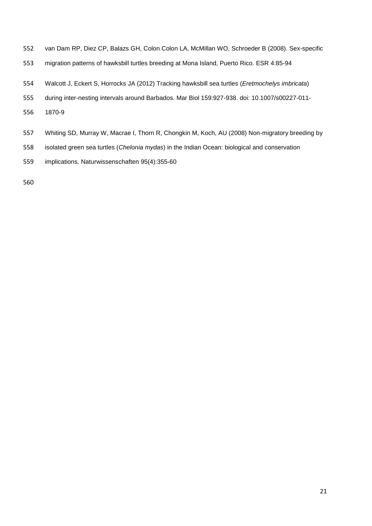- van Dam RP, Diez CP, Balazs GH, Colon Colon LA, McMillan WO, Schroeder B (2008). Sex-specific
- migration patterns of hawksbill turtles breeding at Mona Island, Puerto Rico. ESR 4:85-94
- Walcott J, Eckert S, Horrocks JA (2012) Tracking hawksbill sea turtles (*Eretmochelys imbricata*)
- during inter-nesting intervals around Barbados. Mar Biol 159:927-938. doi: 10.1007/s00227-011-
- 1870-9
- Whiting SD, Murray W, Macrae I, Thorn R, Chongkin M, Koch, AU (2008) Non-migratory breeding by
- isolated green sea turtles (*Chelonia mydas*) in the Indian Ocean: biological and conservation
- implications. Naturwissenschaften 95(4):355-60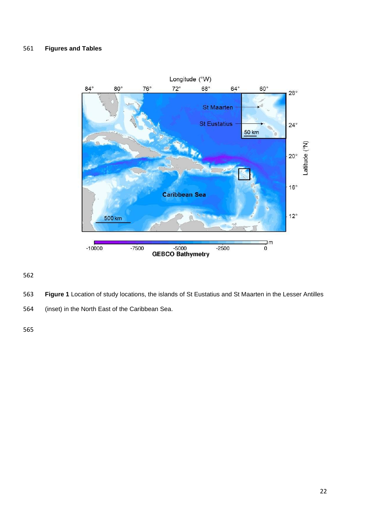## **Figures and Tables**



- **Figure 1** Location of study locations, the islands of St Eustatius and St Maarten in the Lesser Antilles
- (inset) in the North East of the Caribbean Sea.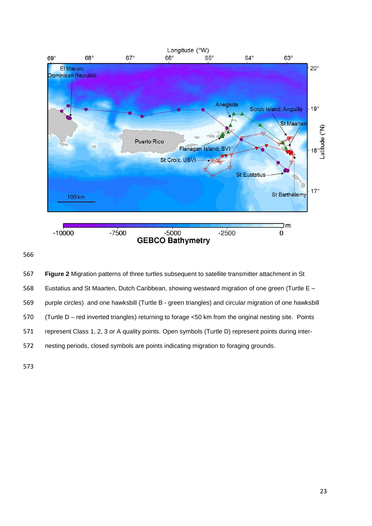

 **Figure 2** Migration patterns of three turtles subsequent to satellite transmitter attachment in St Eustatius and St Maarten, Dutch Caribbean, showing westward migration of one green (Turtle E – purple circles) and one hawksbill (Turtle B - green triangles) and circular migration of one hawksbill (Turtle D – red inverted triangles) returning to forage <50 km from the original nesting site. Points represent Class 1, 2, 3 or A quality points. Open symbols (Turtle D) represent points during inter-nesting periods, closed symbols are points indicating migration to foraging grounds.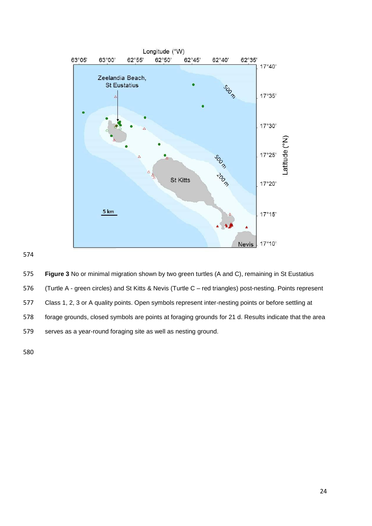

## 

 **Figure 3** No or minimal migration shown by two green turtles (A and C), remaining in St Eustatius (Turtle A - green circles) and St Kitts & Nevis (Turtle C – red triangles) post-nesting. Points represent Class 1, 2, 3 or A quality points. Open symbols represent inter-nesting points or before settling at forage grounds, closed symbols are points at foraging grounds for 21 d. Results indicate that the area serves as a year-round foraging site as well as nesting ground.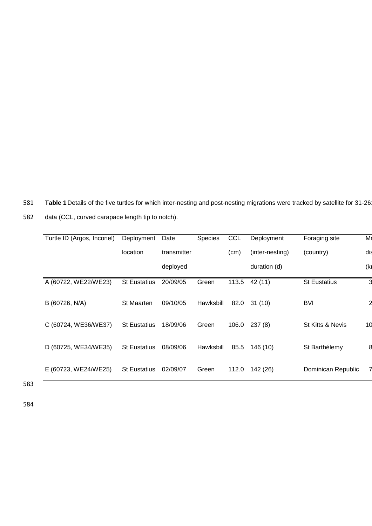581 **Table 1** Details of the five turtles for which inter-nesting and post-nesting migrations were tracked by satellite for 31-26

| Turtle ID (Argos, Inconel) | Deployment          | Date        | Species   | <b>CCL</b> | Deployment      | Foraging site       | Ma                |
|----------------------------|---------------------|-------------|-----------|------------|-----------------|---------------------|-------------------|
|                            | location            | transmitter |           | (cm)       | (inter-nesting) | (country)           | dis               |
|                            |                     | deployed    |           |            | duration (d)    |                     | (k <sub>l</sub> ) |
| A (60722, WE22/WE23)       | <b>St Eustatius</b> | 20/09/05    | Green     | 113.5      | 42 (11)         | <b>St Eustatius</b> | 3                 |
| B (60726, N/A)             | St Maarten          | 09/10/05    | Hawksbill | 82.0       | 31 (10)         | <b>BVI</b>          | 2                 |
| C (60724, WE36/WE37)       | <b>St Eustatius</b> | 18/09/06    | Green     | 106.0      | 237(8)          | St Kitts & Nevis    | 10                |
| D (60725, WE34/WE35)       | <b>St Eustatius</b> | 08/09/06    | Hawksbill | 85.5       | 146 (10)        | St Barthélemy       | 8                 |
| E (60723, WE24/WE25)       | <b>St Eustatius</b> | 02/09/07    | Green     | 112.0      | 142 (26)        | Dominican Republic  |                   |

582 data (CCL, curved carapace length tip to notch).

583